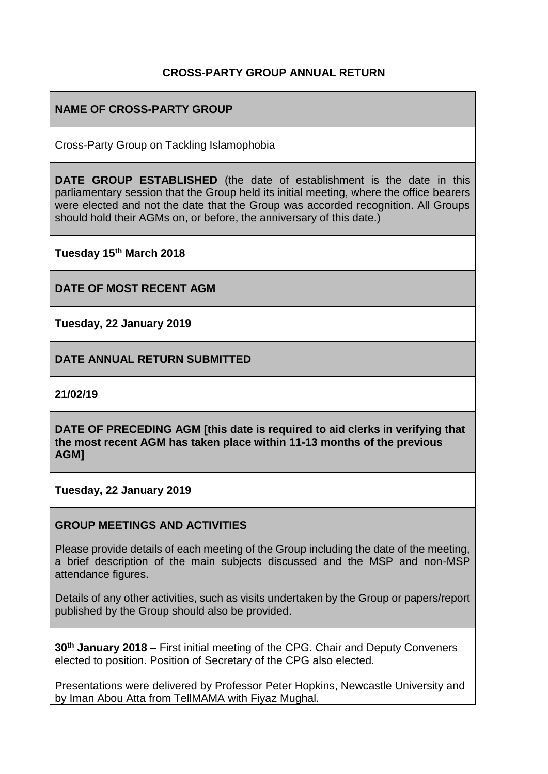### **CROSS-PARTY GROUP ANNUAL RETURN**

### **NAME OF CROSS-PARTY GROUP**

Cross-Party Group on Tackling Islamophobia

**DATE GROUP ESTABLISHED** (the date of establishment is the date in this parliamentary session that the Group held its initial meeting, where the office bearers were elected and not the date that the Group was accorded recognition. All Groups should hold their AGMs on, or before, the anniversary of this date.)

**Tuesday 15th March 2018** 

**DATE OF MOST RECENT AGM**

**Tuesday, 22 January 2019**

**DATE ANNUAL RETURN SUBMITTED**

**21/02/19**

**DATE OF PRECEDING AGM [this date is required to aid clerks in verifying that the most recent AGM has taken place within 11-13 months of the previous AGM]**

**Tuesday, 22 January 2019**

#### **GROUP MEETINGS AND ACTIVITIES**

Please provide details of each meeting of the Group including the date of the meeting, a brief description of the main subjects discussed and the MSP and non-MSP attendance figures.

Details of any other activities, such as visits undertaken by the Group or papers/report published by the Group should also be provided.

**30th January 2018** – First initial meeting of the CPG. Chair and Deputy Conveners elected to position. Position of Secretary of the CPG also elected.

Presentations were delivered by Professor Peter Hopkins, Newcastle University and by Iman Abou Atta from TellMAMA with Fiyaz Mughal.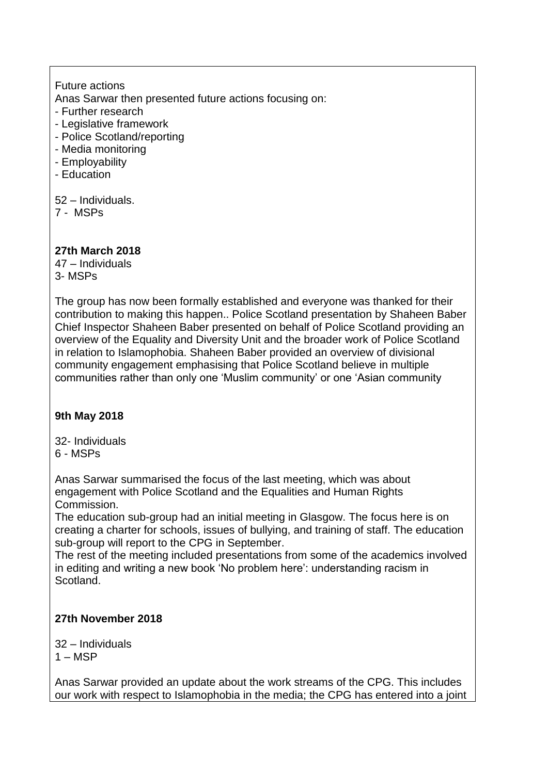Future actions Anas Sarwar then presented future actions focusing on:

- Further research
- Legislative framework
- Police Scotland/reporting
- Media monitoring
- Employability
- Education

52 – Individuals.

7 - MSPs

### **27th March 2018**

47 – Individuals 3- MSPs

The group has now been formally established and everyone was thanked for their contribution to making this happen.. Police Scotland presentation by Shaheen Baber Chief Inspector Shaheen Baber presented on behalf of Police Scotland providing an overview of the Equality and Diversity Unit and the broader work of Police Scotland in relation to Islamophobia. Shaheen Baber provided an overview of divisional community engagement emphasising that Police Scotland believe in multiple communities rather than only one 'Muslim community' or one 'Asian community

### **9th May 2018**

32- Individuals 6 - MSPs

Anas Sarwar summarised the focus of the last meeting, which was about engagement with Police Scotland and the Equalities and Human Rights Commission.

The education sub-group had an initial meeting in Glasgow. The focus here is on creating a charter for schools, issues of bullying, and training of staff. The education sub-group will report to the CPG in September.

The rest of the meeting included presentations from some of the academics involved in editing and writing a new book 'No problem here': understanding racism in Scotland.

### **27th November 2018**

32 – Individuals  $1 - \text{MSP}$ 

Anas Sarwar provided an update about the work streams of the CPG. This includes our work with respect to Islamophobia in the media; the CPG has entered into a joint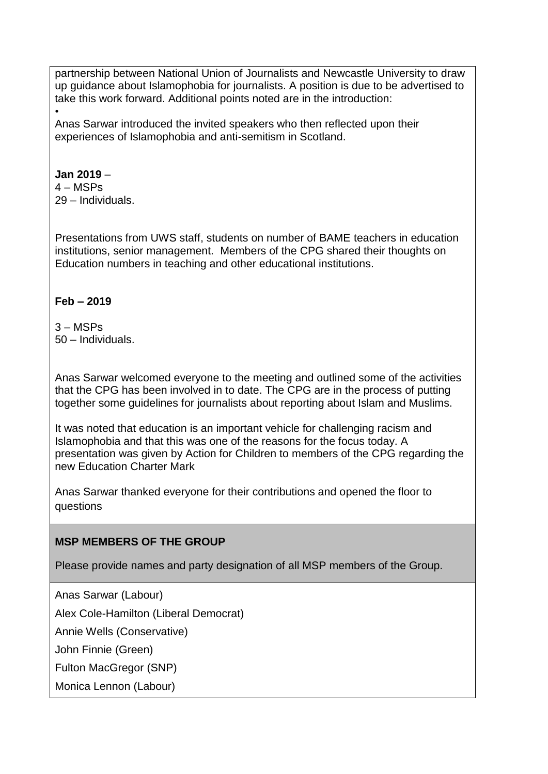partnership between National Union of Journalists and Newcastle University to draw up guidance about Islamophobia for journalists. A position is due to be advertised to take this work forward. Additional points noted are in the introduction:

• Anas Sarwar introduced the invited speakers who then reflected upon their experiences of Islamophobia and anti-semitism in Scotland.

#### **Jan 2019** –

 $4 - MSPs$ 29 – Individuals.

Presentations from UWS staff, students on number of BAME teachers in education institutions, senior management. Members of the CPG shared their thoughts on Education numbers in teaching and other educational institutions.

### **Feb – 2019**

3 – MSPs 50 – Individuals.

Anas Sarwar welcomed everyone to the meeting and outlined some of the activities that the CPG has been involved in to date. The CPG are in the process of putting together some guidelines for journalists about reporting about Islam and Muslims.

It was noted that education is an important vehicle for challenging racism and Islamophobia and that this was one of the reasons for the focus today. A presentation was given by Action for Children to members of the CPG regarding the new Education Charter Mark

Anas Sarwar thanked everyone for their contributions and opened the floor to questions

### **MSP MEMBERS OF THE GROUP**

Please provide names and party designation of all MSP members of the Group.

Anas Sarwar (Labour)

Alex Cole-Hamilton (Liberal Democrat)

Annie Wells (Conservative)

John Finnie (Green)

Fulton MacGregor (SNP)

Monica Lennon (Labour)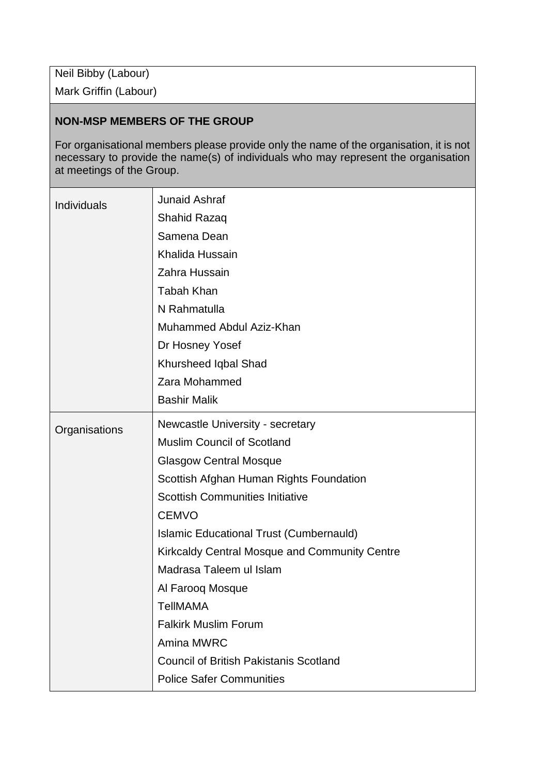Neil Bibby (Labour)

Mark Griffin (Labour)

#### **NON-MSP MEMBERS OF THE GROUP**

For organisational members please provide only the name of the organisation, it is not necessary to provide the name(s) of individuals who may represent the organisation at meetings of the Group.

| <b>Individuals</b> | <b>Junaid Ashraf</b>                           |
|--------------------|------------------------------------------------|
|                    | Shahid Razaq                                   |
|                    | Samena Dean                                    |
|                    | Khalida Hussain                                |
|                    | Zahra Hussain                                  |
|                    | <b>Tabah Khan</b>                              |
|                    | N Rahmatulla                                   |
|                    | Muhammed Abdul Aziz-Khan                       |
|                    | Dr Hosney Yosef                                |
|                    | Khursheed Iqbal Shad                           |
|                    | Zara Mohammed                                  |
|                    | <b>Bashir Malik</b>                            |
| Organisations      | Newcastle University - secretary               |
|                    | <b>Muslim Council of Scotland</b>              |
|                    | <b>Glasgow Central Mosque</b>                  |
|                    | Scottish Afghan Human Rights Foundation        |
|                    | <b>Scottish Communities Initiative</b>         |
|                    | <b>CEMVO</b>                                   |
|                    | <b>Islamic Educational Trust (Cumbernauld)</b> |
|                    | Kirkcaldy Central Mosque and Community Centre  |
|                    | Madrasa Taleem ul Islam                        |
|                    | Al Farooq Mosque                               |
|                    | <b>TellMAMA</b>                                |
|                    | <b>Falkirk Muslim Forum</b>                    |
|                    | Amina MWRC                                     |
|                    | <b>Council of British Pakistanis Scotland</b>  |
|                    | <b>Police Safer Communities</b>                |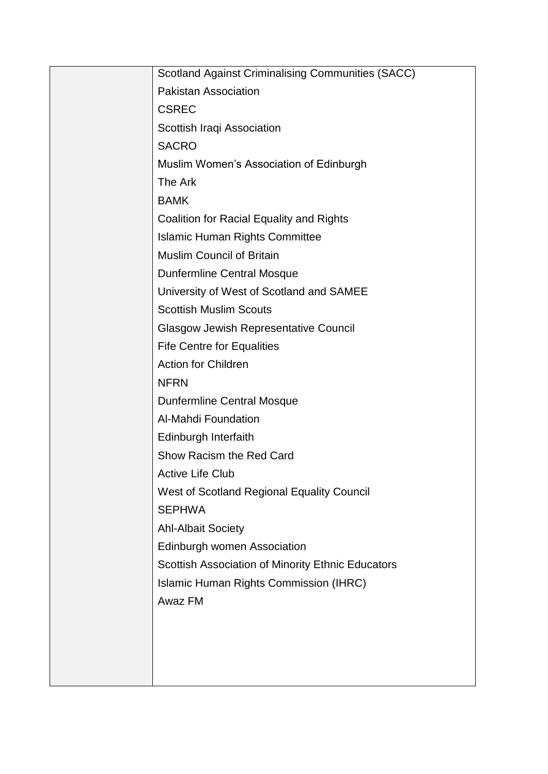| <b>Scotland Against Criminalising Communities (SACC)</b> |
|----------------------------------------------------------|
| <b>Pakistan Association</b>                              |
| <b>CSREC</b>                                             |
| Scottish Iraqi Association                               |
| <b>SACRO</b>                                             |
| Muslim Women's Association of Edinburgh                  |
| The Ark                                                  |
| <b>BAMK</b>                                              |
| Coalition for Racial Equality and Rights                 |
| <b>Islamic Human Rights Committee</b>                    |
| <b>Muslim Council of Britain</b>                         |
| <b>Dunfermline Central Mosque</b>                        |
| University of West of Scotland and SAMEE                 |
| <b>Scottish Muslim Scouts</b>                            |
| <b>Glasgow Jewish Representative Council</b>             |
| <b>Fife Centre for Equalities</b>                        |
| <b>Action for Children</b>                               |
| <b>NFRN</b>                                              |
| <b>Dunfermline Central Mosque</b>                        |
| Al-Mahdi Foundation                                      |
| Edinburgh Interfaith                                     |
| Show Racism the Red Card                                 |
| <b>Active Life Club</b>                                  |
| West of Scotland Regional Equality Council               |
| <b>SEPHWA</b>                                            |
| <b>Ahl-Albait Society</b>                                |
| Edinburgh women Association                              |
| Scottish Association of Minority Ethnic Educators        |
| Islamic Human Rights Commission (IHRC)                   |
| Awaz FM                                                  |
|                                                          |
|                                                          |
|                                                          |
|                                                          |
|                                                          |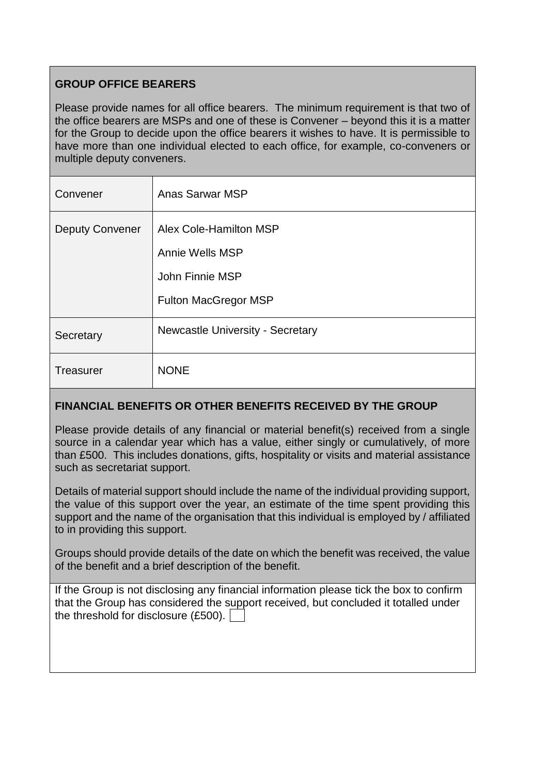## **GROUP OFFICE BEARERS**

Please provide names for all office bearers. The minimum requirement is that two of the office bearers are MSPs and one of these is Convener – beyond this it is a matter for the Group to decide upon the office bearers it wishes to have. It is permissible to have more than one individual elected to each office, for example, co-conveners or multiple deputy conveners.

| Convener               | <b>Anas Sarwar MSP</b>                                                                      |
|------------------------|---------------------------------------------------------------------------------------------|
| <b>Deputy Convener</b> | Alex Cole-Hamilton MSP<br>Annie Wells MSP<br>John Finnie MSP<br><b>Fulton MacGregor MSP</b> |
| Secretary              | <b>Newcastle University - Secretary</b>                                                     |
| <b>Treasurer</b>       | <b>NONE</b>                                                                                 |

### **FINANCIAL BENEFITS OR OTHER BENEFITS RECEIVED BY THE GROUP**

Please provide details of any financial or material benefit(s) received from a single source in a calendar year which has a value, either singly or cumulatively, of more than £500. This includes donations, gifts, hospitality or visits and material assistance such as secretariat support.

Details of material support should include the name of the individual providing support, the value of this support over the year, an estimate of the time spent providing this support and the name of the organisation that this individual is employed by / affiliated to in providing this support.

Groups should provide details of the date on which the benefit was received, the value of the benefit and a brief description of the benefit.

| If the Group is not disclosing any financial information please tick the box to confirm |
|-----------------------------------------------------------------------------------------|
| that the Group has considered the support received, but concluded it totalled under     |
| the threshold for disclosure $(E500)$ .                                                 |